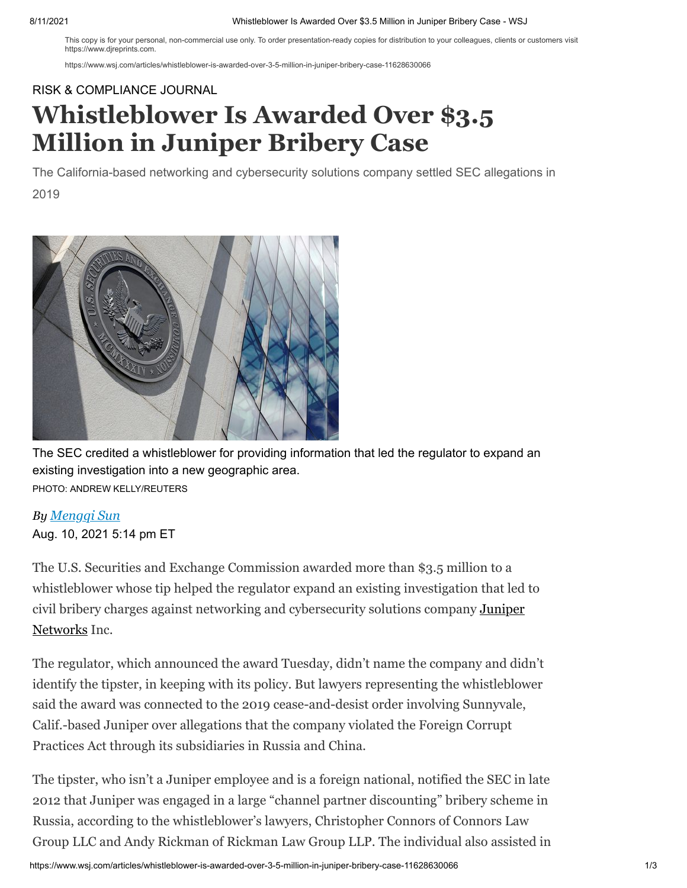### 8/11/2021 Whistleblower Is Awarded Over \$3.5 Million in Juniper Bribery Case - WSJ

This copy is for your personal, non-commercial use only. To order presentation-ready copies for distribution to your colleagues, clients or customers visit https://www.direprints.com

https://www.wsj.com/articles/whistleblower-is-awarded-over-3-5-million-in-juniper-bribery-case-11628630066

## [RISK & COMPLIANCE JOURNAL](https://www.wsj.com/news/types/risk-compliance-journal?mod=breadcrumb)

# **Whistleblower Is Awarded Over \$3.5 Million in Juniper Bribery Case**

The California-based networking and cybersecurity solutions company settled SEC allegations in 2019



The SEC credited a whistleblower for providing information that led the regulator to expand an existing investigation into a new geographic area. PHOTO: ANDREW KELLY/REUTERS

## *By Mengqi Sun*

Aug. 10, 2021 5:14 pm ET

The U.S. Securities and Exchange Commission awarded more than \$3.5 million to a whistleblower whose tip helped the regulator expand an existing investigation that led to [civil bribery charges against networking and cybersecurity solutions company](https://www.wsj.com/market-data/quotes/JNPR) Juniper Networks Inc.

The regulator, which announced the award Tuesday, didn't name the company and didn't identify the tipster, in keeping with its policy. But lawyers representing the whistleblower said the award was connected to the 2019 cease-and-desist order involving Sunnyvale, Calif.-based Juniper over allegations that the company violated the Foreign Corrupt Practices Act through its subsidiaries in Russia and China.

The tipster, who isn't a Juniper employee and is a foreign national, notified the SEC in late 2012 that Juniper was engaged in a large "channel partner discounting" bribery scheme in Russia, according to the whistleblower's lawyers, Christopher Connors of Connors Law Group LLC and Andy Rickman of Rickman Law Group LLP. The individual also assisted in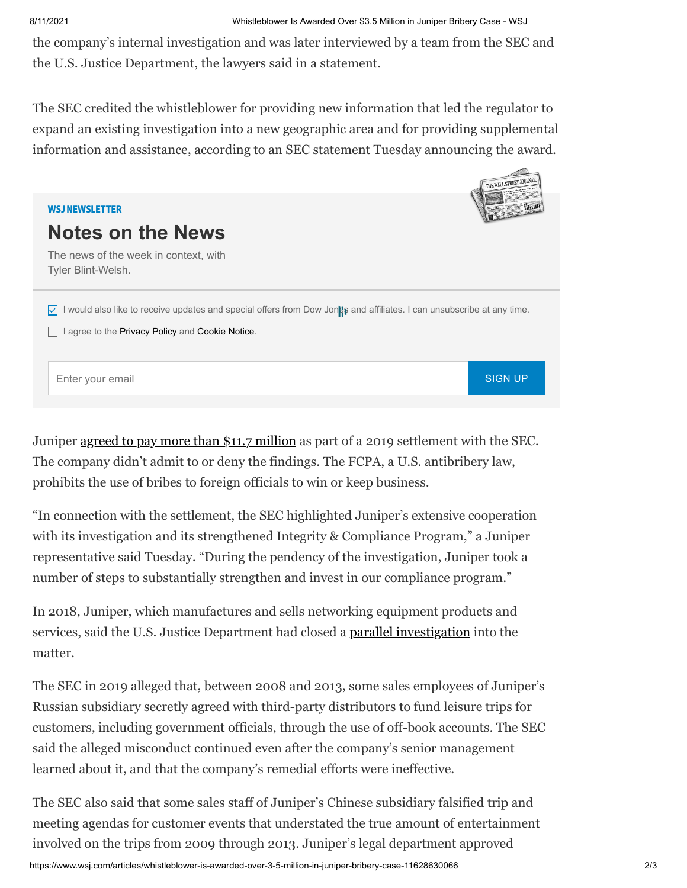the company's internal investigation and was later interviewed by a team from the SEC and the U.S. Justice Department, the lawyers said in a statement.

The SEC credited the whistleblower for providing new information that led the regulator to expand an existing investigation into a new geographic area and for providing supplemental information and assistance, according to an SEC statement Tuesday announcing the award.



Juniper [agreed to pay more than \\$11.7 million](https://www.wsj.com/articles/juniper-networks-settles-foreign-bribery-charges-11567118001?mod=article_inline) as part of a 2019 settlement with the SEC. The company didn't admit to or deny the findings. The FCPA, a U.S. antibribery law, prohibits the use of bribes to foreign officials to win or keep business.

"In connection with the settlement, the SEC highlighted Juniper's extensive cooperation with its investigation and its strengthened Integrity & Compliance Program," a Juniper representative said Tuesday. "During the pendency of the investigation, Juniper took a number of steps to substantially strengthen and invest in our compliance program."

In 2018, Juniper, which manufactures and sells networking equipment products and services, said the U.S. Justice Department had closed a [parallel investigation](https://www.wsj.com/articles/core-labs-juniper-networks-report-end-of-fcpa-probes-1518457521?mod=article_inline) into the matter.

The SEC in 2019 alleged that, between 2008 and 2013, some sales employees of Juniper's Russian subsidiary secretly agreed with third-party distributors to fund leisure trips for customers, including government officials, through the use of off-book accounts. The SEC said the alleged misconduct continued even after the company's senior management learned about it, and that the company's remedial efforts were ineffective.

The SEC also said that some sales staff of Juniper's Chinese subsidiary falsified trip and meeting agendas for customer events that understated the true amount of entertainment involved on the trips from 2009 through 2013. Juniper's legal department approved